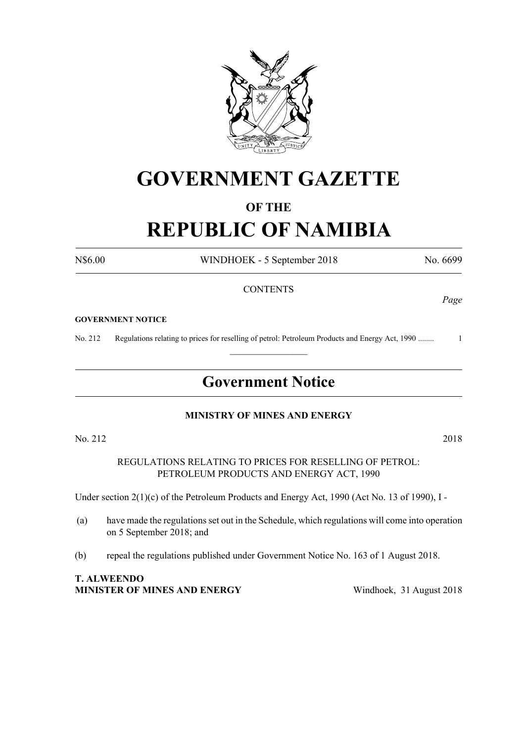

# **GOVERNMENT GAZETTE**

### **OF THE**

# **REPUBLIC OF NAMIBIA**

N\$6.00 WINDHOEK - 5 September 2018 No. 6699

#### **CONTENTS**

#### **GOVERNMENT NOTICE**

No. 212 Regulations relating to prices for reselling of petrol: Petroleum Products and Energy Act, 1990 ........ 1

## **Government Notice**

 $\frac{1}{2}$ 

#### **MINISTRY OF MINES AND ENERGY**

No. 212 2018

REGULATIONS RELATING TO PRICES FOR RESELLING OF PETROL: PETROLEUM PRODUCTS AND ENERGY ACT, 1990

Under section 2(1)(c) of the Petroleum Products and Energy Act, 1990 (Act No. 13 of 1990), I -

- (a) have made the regulations set out in the Schedule, which regulations will come into operation on 5 September 2018; and
- (b) repeal the regulations published under Government Notice No. 163 of 1 August 2018.

**T. ALWEENDO MINISTER OF MINES AND ENERGY** Windhoek, 31 August 2018

*Page*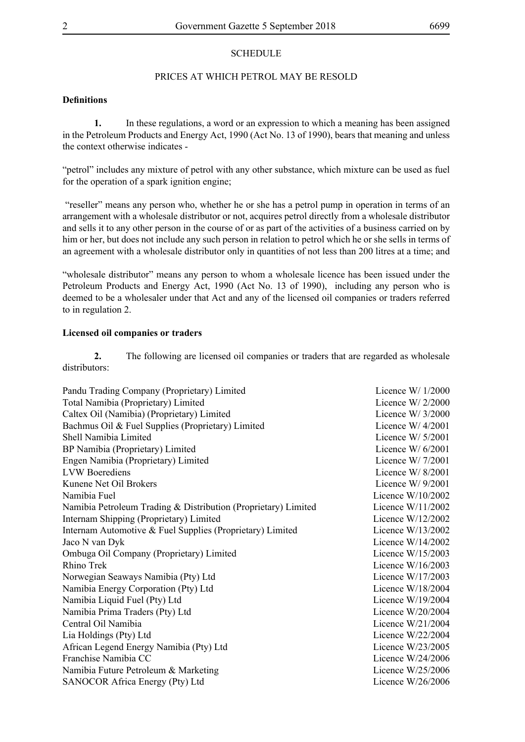#### **SCHEDULE**

#### PRICES AT WHICH PETROL MAY BE RESOLD

#### **Definitions**

**1.** In these regulations, a word or an expression to which a meaning has been assigned in the Petroleum Products and Energy Act, 1990 (Act No. 13 of 1990), bears that meaning and unless the context otherwise indicates -

"petrol" includes any mixture of petrol with any other substance, which mixture can be used as fuel for the operation of a spark ignition engine;

 "reseller" means any person who, whether he or she has a petrol pump in operation in terms of an arrangement with a wholesale distributor or not, acquires petrol directly from a wholesale distributor and sells it to any other person in the course of or as part of the activities of a business carried on by him or her, but does not include any such person in relation to petrol which he or she sells in terms of an agreement with a wholesale distributor only in quantities of not less than 200 litres at a time; and

"wholesale distributor" means any person to whom a wholesale licence has been issued under the Petroleum Products and Energy Act, 1990 (Act No. 13 of 1990), including any person who is deemed to be a wholesaler under that Act and any of the licensed oil companies or traders referred to in regulation 2.

#### **Licensed oil companies or traders**

**2.** The following are licensed oil companies or traders that are regarded as wholesale distributors:

| Pandu Trading Company (Proprietary) Limited                    | Licence W/ $1/2000$  |
|----------------------------------------------------------------|----------------------|
| Total Namibia (Proprietary) Limited                            | Licence W/ $2/2000$  |
| Caltex Oil (Namibia) (Proprietary) Limited                     | Licence W $/$ 3/2000 |
| Bachmus Oil & Fuel Supplies (Proprietary) Limited              | Licence W/ $4/2001$  |
| Shell Namibia Limited                                          | Licence W/ $5/2001$  |
| BP Namibia (Proprietary) Limited                               | Licence W/ $6/2001$  |
| Engen Namibia (Proprietary) Limited                            | Licence W/ $7/2001$  |
| <b>LVW</b> Boerediens                                          | Licence W/ $8/2001$  |
| Kunene Net Oil Brokers                                         | Licence W/ $9/2001$  |
| Namibia Fuel                                                   | Licence $W/10/2002$  |
| Namibia Petroleum Trading & Distribution (Proprietary) Limited | Licence $W/11/2002$  |
| Internam Shipping (Proprietary) Limited                        | Licence W/12/2002    |
| Internam Automotive & Fuel Supplies (Proprietary) Limited      | Licence $W/13/2002$  |
| Jaco N van Dyk                                                 | Licence $W/14/2002$  |
| Ombuga Oil Company (Proprietary) Limited                       | Licence $W/15/2003$  |
| <b>Rhino Trek</b>                                              | Licence $W/16/2003$  |
| Norwegian Seaways Namibia (Pty) Ltd                            | Licence $W/17/2003$  |
| Namibia Energy Corporation (Pty) Ltd                           | Licence $W/18/2004$  |
| Namibia Liquid Fuel (Pty) Ltd                                  | Licence $W/19/2004$  |
| Namibia Prima Traders (Pty) Ltd                                | Licence $W/20/2004$  |
| Central Oil Namibia                                            | Licence $W/21/2004$  |
| Lia Holdings (Pty) Ltd                                         | Licence $W/22/2004$  |
| African Legend Energy Namibia (Pty) Ltd                        | Licence $W/23/2005$  |
| Franchise Namibia CC                                           | Licence $W/24/2006$  |
| Namibia Future Petroleum & Marketing                           | Licence $W/25/2006$  |
| SANOCOR Africa Energy (Pty) Ltd                                | Licence $W/26/2006$  |
|                                                                |                      |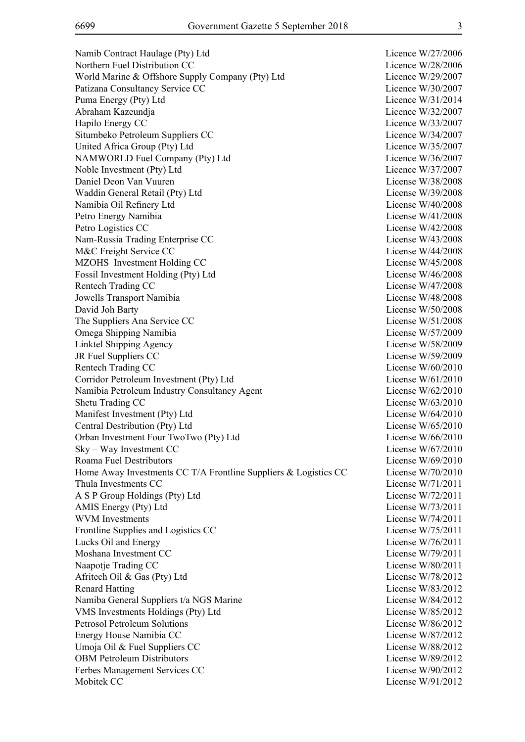Namib Contract Haulage (Pty) Ltd Licence W/27/2006 Northern Fuel Distribution CC and the Contract of the Licence W/28/2006 World Marine & Offshore Supply Company (Pty) Ltd Licence W/29/2007 Patizana Consultancy Service CC Licence W/30/2007 Puma Energy (Pty) Ltd Licence W/31/2014 Abraham Kazeundja Licence W/32/2007 Hapilo Energy CC Licence W/33/2007 Situmbeko Petroleum Suppliers CC Licence W/34/2007 United Africa Group (Pty) Ltd Licence W/35/2007 NAMWORLD Fuel Company (Pty) Ltd Licence W/36/2007 Noble Investment (Pty) Ltd Licence W/37/2007 Daniel Deon Van Vuuren License W/38/2008 Waddin General Retail (Pty) Ltd License W/39/2008 Namibia Oil Refinery Ltd License W/40/2008 Petro Energy Namibia License W/41/2008 Petro Logistics CC License W/42/2008 Nam-Russia Trading Enterprise CC License W/43/2008 M&C Freight Service CC License W/44/2008 MZOHS Investment Holding CC License W/45/2008 Fossil Investment Holding (Pty) Ltd License W/46/2008 Rentech Trading CC License W/47/2008 Jowells Transport Namibia License W/48/2008 David Joh Barty License W/50/2008 The Suppliers Ana Service CC License W/51/2008 Omega Shipping Namibia License W/57/2009 Linktel Shipping Agency License W/58/2009 JR Fuel Suppliers CC License W/59/2009 Rentech Trading CC License W/60/2010 Corridor Petroleum Investment (Pty) Ltd License W/61/2010 Namibia Petroleum Industry Consultancy Agent License W/62/2010 Shetu Trading CC License W/63/2010 Manifest Investment (Pty) Ltd License W/64/2010 Central Destribution (Pty) Ltd License W/65/2010 Orban Investment Four TwoTwo (Pty) Ltd License W/66/2010 Sky – Way Investment CC License W/67/2010 Roama Fuel Destributors License W/69/2010 Home Away Investments CC T/A Frontline Suppliers & Logistics CC License W/70/2010 Thula Investments CC License W/71/2011 A S P Group Holdings (Pty) Ltd License W/72/2011 AMIS Energy (Pty) Ltd License W/73/2011 WVM Investments License W/74/2011 Frontline Supplies and Logistics CC License W/75/2011 Lucks Oil and Energy License W/76/2011 Moshana Investment CC and the CO and the Company of the Company of the Company of the License W/79/2011 Naapotje Trading CC License W/80/2011 Afritech Oil & Gas (Pty) Ltd License W/78/2012 Renard Hatting License W/83/2012 Namiba General Suppliers t/a NGS Marine License W/84/2012 VMS Investments Holdings (Pty) Ltd License W/85/2012 Petrosol Petroleum Solutions License W/86/2012 Energy House Namibia CC and the Company of the License W/87/2012 Umoja Oil & Fuel Suppliers CC License W/88/2012 OBM Petroleum Distributors License W/89/2012 Ferbes Management Services CC License W/90/2012 Mobitek CC License W/91/2012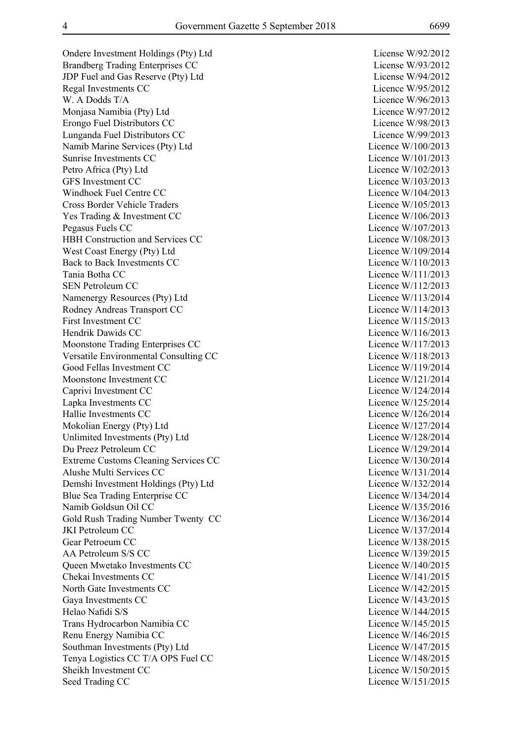Ondere Investment Holdings (Pty) Ltd License W/92/2012 Brandberg Trading Enterprises CC License W/93/2012 JDP Fuel and Gas Reserve (Pty) Ltd License W/94/2012 Regal Investments CC Licence W/95/2012 W. A Dodds T/A Licence W/96/2013 Monjasa Namibia (Pty) Ltd Licence W/97/2012 Erongo Fuel Distributors CC Licence W/98/2013 Lunganda Fuel Distributors CC Licence W/99/2013 Namib Marine Services (Pty) Ltd Licence W/100/2013 Sunrise Investments CC and the CO and the Countries of the Licence W/101/2013 Petro Africa (Ptv) Ltd Licence W/102/2013 GFS Investment CC Licence W/103/2013 Windhoek Fuel Centre CC and the Communication of the Licence W/104/2013 Cross Border Vehicle Traders Licence W/105/2013 Yes Trading & Investment CC Licence W/106/2013 Pegasus Fuels CC Licence W/107/2013 HBH Construction and Services CC Licence W/108/2013 West Coast Energy (Pty) Ltd Licence W/109/2014 Back to Back Investments CC Licence W/110/2013 Tania Botha CC Licence W/111/2013 SEN Petroleum CC Licence W/112/2013 Namenergy Resources (Pty) Ltd Licence W/113/2014 Rodney Andreas Transport CC Licence W/114/2013 First Investment CC Licence W/115/2013 Hendrik Dawids CC and the United States of the United States and Licence W/116/2013 Moonstone Trading Enterprises CC Licence W/117/2013 Versatile Environmental Consulting CC Licence W/118/2013 Good Fellas Investment CC Licence W/119/2014 Moonstone Investment CC and the CO licence W/121/2014 Caprivi Investment CC Licence W/124/2014 Lapka Investments CC Licence W/125/2014 Hallie Investments CC Licence W/126/2014 Mokolian Energy (Pty) Ltd Licence W/127/2014 Unlimited Investments (Pty) Ltd Licence W/128/2014 Du Preez Petroleum CC Licence W/129/2014 Extreme Customs Cleaning Services CC Licence W/130/2014 Alushe Multi Services CC and the Contract of the Licence W/131/2014 Demshi Investment Holdings (Pty) Ltd Licence W/132/2014 Blue Sea Trading Enterprise CC Licence W/134/2014 Namib Goldsun Oil CC and the Contract of the Contract of the Licence W/135/2016 Gold Rush Trading Number Twenty CC Licence W/136/2014 JKI Petroleum CC Licence W/137/2014 Gear Petroeum CC Licence W/138/2015 AA Petroleum S/S CC Licence W/139/2015 Queen Mwetako Investments CC and COV and Cover the Licence W/140/2015 Chekai Investments CC and the Company of the Company of the Licence W/141/2015 North Gate Investments CC Licence W/142/2015 Gaya Investments CC Licence W/143/2015 Helao Nafidi S/S Licence W/144/2015 Trans Hydrocarbon Namibia CC Licence W/145/2015 Renu Energy Namibia CC Licence W/146/2015 Southman Investments (Pty) Ltd Licence W/147/2015 Tenya Logistics CC T/A OPS Fuel CC Licence W/148/2015 Sheikh Investment CC Licence W/150/2015 Seed Trading CC Licence W/151/2015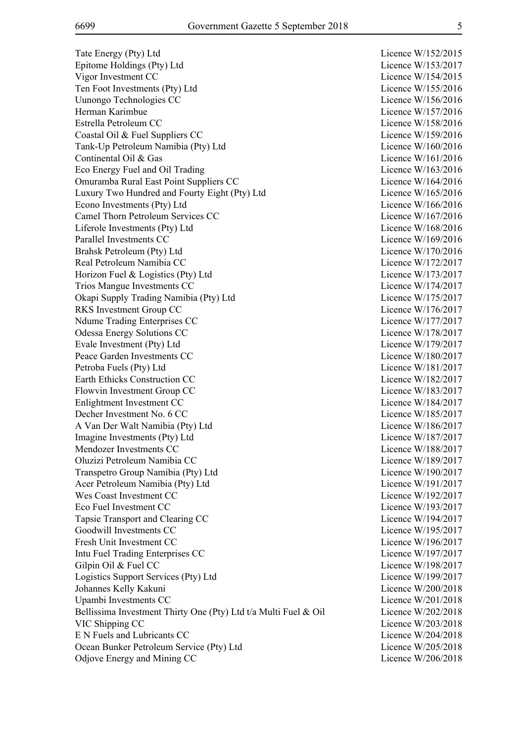Tate Energy (Pty) Ltd Epitome Holdings (Pty) Ltd Vigor Investment CC Ten Foot Investments (Pty) Ltd Uunongo Technologies CC Herman Karimbue Estrella Petroleum CC Coastal Oil & Fuel Suppliers CC Tank-Up Petroleum Namibia (Pty) Ltd Continental Oil & Gas Eco Energy Fuel and Oil Trading Omuramba Rural East Point Suppliers CC Luxury Two Hundred and Fourty Eight (Pty) Ltd Econo Investments (Pty) Ltd Camel Thorn Petroleum Services CC Liferole Investments (Ptv) Ltd Parallel Investments CC Brahsk Petroleum (Pty) Ltd Real Petroleum Namibia CC Horizon Fuel & Logistics (Pty) Ltd Trios Mangue Investments CC Okapi Supply Trading Namibia (Pty) Ltd RKS Investment Group CC Ndume Trading Enterprises CC Odessa Energy Solutions CC Evale Investment (Pty) Ltd Peace Garden Investments CC Petroba Fuels (Pty) Ltd Earth Ethicks Construction CC Flowvin Investment Group CC Enlightment Investment CC Decher Investment No. 6 CC A Van Der Walt Namibia (Pty) Ltd Imagine Investments (Pty) Ltd Mendozer Investments CC Oluzizi Petroleum Namibia CC Transpetro Group Namibia (Pty) Ltd Acer Petroleum Namibia (Pty) Ltd Wes Coast Investment CC Eco Fuel Investment CC Tapsie Transport and Clearing CC Goodwill Investments CC Fresh Unit Investment CC Intu Fuel Trading Enterprises CC Gilpin Oil  $&$  Fuel CC Logistics Support Services (Pty) Ltd Johannes Kelly Kakuni Upambi Investments CC Bellissima Investment Thirty One (Pty) Ltd t/a Multi Fuel & Oil VIC Shipping CC E N Fuels and Lubricants CC Ocean Bunker Petroleum Service (Pty) Ltd Odjove Energy and Mining CC

| W/152/2015<br>Licence |
|-----------------------|
| W/153/2017<br>Licence |
| W/154/2015<br>Licence |
| W/155/2016<br>Licence |
| W/156/2016<br>Licence |
|                       |
| W/157/2016<br>Licence |
| W/158/2016<br>Licence |
| W/159/2016<br>Licence |
| W/160/2016<br>Licence |
| W/161/2016<br>Licence |
| W/163/2016<br>Licence |
| W/164/2016<br>Licence |
| W/165/2016<br>Licence |
| W/166/2016<br>Licence |
|                       |
| W/167/2016<br>Licence |
| W/168/2016<br>Licence |
| W/169/2016<br>Licence |
| W/170/2016<br>Licence |
| W/172/2017<br>Licence |
| W/173/2017<br>Licence |
| W/174/2017<br>Licence |
| W/175/2017<br>Licence |
| W/176/2017<br>Licence |
|                       |
| W/177/2017<br>Licence |
| W/178/2017<br>Licence |
| W/179/2017<br>Licence |
| W/180/2017<br>Licence |
| W/181/2017<br>Licence |
| W/182/2017<br>Licence |
| W/183/2017<br>Licence |
| W/184/2017<br>Licence |
| W/185/2017<br>Licence |
| W/186/2017<br>Licence |
| W/187/2017            |
| Licence               |
| W/188/2017<br>Licence |
| W/189/2017<br>Licence |
| W/190/2017<br>Licence |
| W/191/2017<br>Licence |
| W/192/2017<br>Licence |
| Licence<br>W/193/2017 |
| W/194/2017<br>Licence |
| W/195/2017<br>Licence |
| W/196/2017<br>Licence |
| W/197/2017<br>Licence |
|                       |
| Licence<br>W/198/2017 |
| W/199/2017<br>Licence |
| W/200/2018<br>Licence |
| W/201/2018<br>Licence |
| W/202/2018<br>Licence |
| Licence<br>W/203/2018 |
| W/204/2018<br>Licence |
| W/205/2018<br>Licence |
| Licence<br>W/206/2018 |
|                       |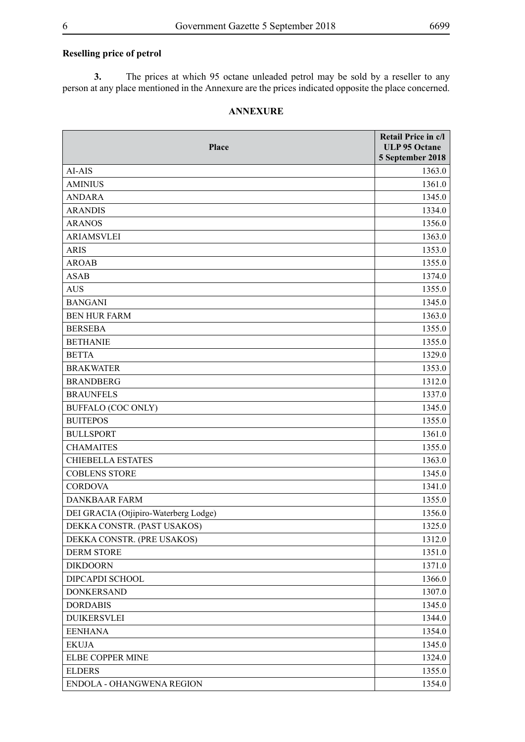### **Reselling price of petrol**

**3.** The prices at which 95 octane unleaded petrol may be sold by a reseller to any person at any place mentioned in the Annexure are the prices indicated opposite the place concerned.

#### **ANNEXURE**

| <b>Place</b>                          | Retail Price in c/l<br><b>ULP 95 Octane</b><br>5 September 2018 |
|---------------------------------------|-----------------------------------------------------------------|
| AI-AIS                                | 1363.0                                                          |
| <b>AMINIUS</b>                        | 1361.0                                                          |
| <b>ANDARA</b>                         | 1345.0                                                          |
| <b>ARANDIS</b>                        | 1334.0                                                          |
| <b>ARANOS</b>                         | 1356.0                                                          |
| <b>ARIAMSVLEI</b>                     | 1363.0                                                          |
| <b>ARIS</b>                           | 1353.0                                                          |
| <b>AROAB</b>                          | 1355.0                                                          |
| <b>ASAB</b>                           | 1374.0                                                          |
| <b>AUS</b>                            | 1355.0                                                          |
| <b>BANGANI</b>                        | 1345.0                                                          |
| <b>BEN HUR FARM</b>                   | 1363.0                                                          |
| <b>BERSEBA</b>                        | 1355.0                                                          |
| <b>BETHANIE</b>                       | 1355.0                                                          |
| <b>BETTA</b>                          | 1329.0                                                          |
| <b>BRAKWATER</b>                      | 1353.0                                                          |
| <b>BRANDBERG</b>                      | 1312.0                                                          |
| <b>BRAUNFELS</b>                      | 1337.0                                                          |
| <b>BUFFALO (COC ONLY)</b>             | 1345.0                                                          |
| <b>BUITEPOS</b>                       | 1355.0                                                          |
| <b>BULLSPORT</b>                      | 1361.0                                                          |
| <b>CHAMAITES</b>                      | 1355.0                                                          |
| <b>CHIEBELLA ESTATES</b>              | 1363.0                                                          |
| <b>COBLENS STORE</b>                  | 1345.0                                                          |
| <b>CORDOVA</b>                        | 1341.0                                                          |
| <b>DANKBAAR FARM</b>                  | 1355.0                                                          |
| DEI GRACIA (Otjipiro-Waterberg Lodge) | 1356.0                                                          |
| DEKKA CONSTR. (PAST USAKOS)           | 1325.0                                                          |
| DEKKA CONSTR. (PRE USAKOS)            | 1312.0                                                          |
| <b>DERM STORE</b>                     | 1351.0                                                          |
| <b>DIKDOORN</b>                       | 1371.0                                                          |
| DIPCAPDI SCHOOL                       | 1366.0                                                          |
| <b>DONKERSAND</b>                     | 1307.0                                                          |
| <b>DORDABIS</b>                       | 1345.0                                                          |
| <b>DUIKERSVLEI</b>                    | 1344.0                                                          |
| <b>EENHANA</b>                        | 1354.0                                                          |
| <b>EKUJA</b>                          | 1345.0                                                          |
| ELBE COPPER MINE                      | 1324.0                                                          |
| <b>ELDERS</b>                         | 1355.0                                                          |
| ENDOLA - OHANGWENA REGION             | 1354.0                                                          |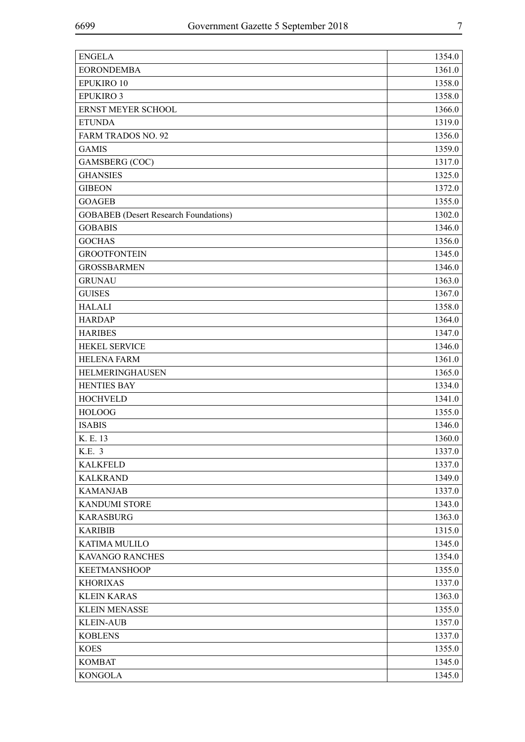| <b>ENGELA</b>                                | 1354.0 |
|----------------------------------------------|--------|
| <b>EORONDEMBA</b>                            | 1361.0 |
| EPUKIRO 10                                   | 1358.0 |
| <b>EPUKIRO 3</b>                             | 1358.0 |
| ERNST MEYER SCHOOL                           | 1366.0 |
| <b>ETUNDA</b>                                | 1319.0 |
| FARM TRADOS NO. 92                           | 1356.0 |
| <b>GAMIS</b>                                 | 1359.0 |
| <b>GAMSBERG</b> (COC)                        | 1317.0 |
| <b>GHANSIES</b>                              | 1325.0 |
| <b>GIBEON</b>                                | 1372.0 |
| <b>GOAGEB</b>                                | 1355.0 |
| <b>GOBABEB</b> (Desert Research Foundations) | 1302.0 |
| <b>GOBABIS</b>                               | 1346.0 |
| <b>GOCHAS</b>                                | 1356.0 |
| <b>GROOTFONTEIN</b>                          | 1345.0 |
| <b>GROSSBARMEN</b>                           | 1346.0 |
| <b>GRUNAU</b>                                | 1363.0 |
| <b>GUISES</b>                                | 1367.0 |
| <b>HALALI</b>                                | 1358.0 |
| <b>HARDAP</b>                                | 1364.0 |
| <b>HARIBES</b>                               | 1347.0 |
| <b>HEKEL SERVICE</b>                         | 1346.0 |
| <b>HELENA FARM</b>                           | 1361.0 |
| HELMERINGHAUSEN                              | 1365.0 |
| <b>HENTIES BAY</b>                           | 1334.0 |
| <b>HOCHVELD</b>                              | 1341.0 |
| <b>HOLOOG</b>                                | 1355.0 |
| <b>ISABIS</b>                                | 1346.0 |
| K. E. 13                                     | 1360.0 |
| K.E. 3                                       | 1337.0 |
| <b>KALKFELD</b>                              | 1337.0 |
| <b>KALKRAND</b>                              | 1349.0 |
| <b>KAMANJAB</b>                              | 1337.0 |
| <b>KANDUMI STORE</b>                         | 1343.0 |
| <b>KARASBURG</b>                             | 1363.0 |
| <b>KARIBIB</b>                               | 1315.0 |
| <b>KATIMA MULILO</b>                         | 1345.0 |
| KAVANGO RANCHES                              | 1354.0 |
| <b>KEETMANSHOOP</b>                          | 1355.0 |
| <b>KHORIXAS</b>                              | 1337.0 |
| <b>KLEIN KARAS</b>                           | 1363.0 |
| <b>KLEIN MENASSE</b>                         | 1355.0 |
| <b>KLEIN-AUB</b>                             | 1357.0 |
| <b>KOBLENS</b>                               | 1337.0 |
| <b>KOES</b>                                  | 1355.0 |
| <b>KOMBAT</b>                                | 1345.0 |
| <b>KONGOLA</b>                               | 1345.0 |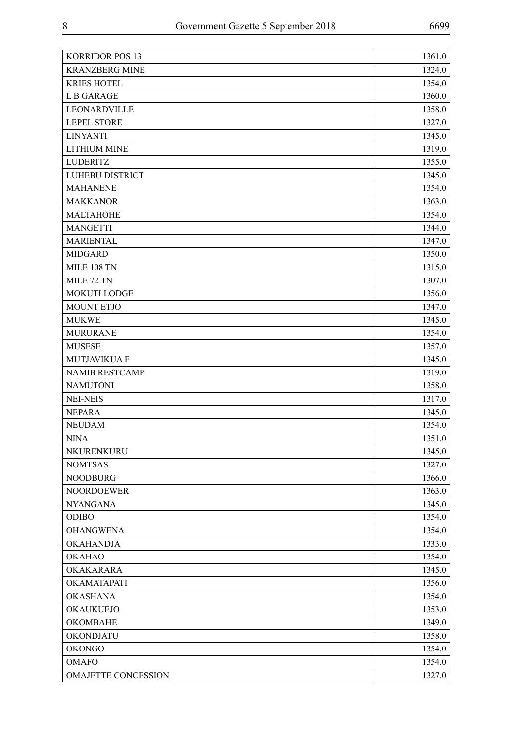| 1324.0<br><b>KRANZBERG MINE</b><br><b>KRIES HOTEL</b><br>1354.0<br><b>LB GARAGE</b><br>1360.0<br>LEONARDVILLE<br>1358.0<br><b>LEPEL STORE</b><br>1327.0<br><b>LINYANTI</b><br>1345.0<br><b>LITHIUM MINE</b><br>1319.0<br><b>LUDERITZ</b><br>1355.0<br>LUHEBU DISTRICT<br>1345.0<br><b>MAHANENE</b><br>1354.0<br><b>MAKKANOR</b><br>1363.0<br><b>MALTAHOHE</b><br>1354.0<br><b>MANGETTI</b><br>1344.0<br><b>MARIENTAL</b><br>1347.0<br><b>MIDGARD</b><br>1350.0<br><b>MILE 108 TN</b><br>1315.0<br>MILE 72 TN<br>1307.0<br>MOKUTI LODGE<br>1356.0<br><b>MOUNT ETJO</b><br>1347.0<br><b>MUKWE</b><br>1345.0<br><b>MURURANE</b><br>1354.0<br><b>MUSESE</b><br>1357.0<br>MUTJAVIKUA F<br>1345.0<br><b>NAMIB RESTCAMP</b><br>1319.0<br><b>NAMUTONI</b><br>1358.0<br><b>NEI-NEIS</b><br>1317.0<br><b>NEPARA</b><br>1345.0<br><b>NEUDAM</b><br>1354.0<br><b>NINA</b><br>1351.0<br>1345.0<br>NKURENKURU<br><b>NOMTSAS</b><br>1327.0<br><b>NOODBURG</b><br>1366.0<br><b>NOORDOEWER</b><br>1363.0<br><b>NYANGANA</b><br>1345.0<br><b>ODIBO</b><br>1354.0<br><b>OHANGWENA</b><br>1354.0<br><b>OKAHANDJA</b><br>1333.0<br><b>OKAHAO</b><br>1354.0<br>OKAKARARA<br>1345.0<br>OKAMATAPATI<br>1356.0<br><b>OKASHANA</b><br>1354.0<br><b>OKAUKUEJO</b><br>1353.0<br><b>OKOMBAHE</b><br>1349.0<br>OKONDJATU<br>1358.0<br><b>OKONGO</b><br>1354.0<br><b>OMAFO</b><br>1354.0<br>OMAJETTE CONCESSION<br>1327.0 | <b>KORRIDOR POS 13</b> | 1361.0 |
|--------------------------------------------------------------------------------------------------------------------------------------------------------------------------------------------------------------------------------------------------------------------------------------------------------------------------------------------------------------------------------------------------------------------------------------------------------------------------------------------------------------------------------------------------------------------------------------------------------------------------------------------------------------------------------------------------------------------------------------------------------------------------------------------------------------------------------------------------------------------------------------------------------------------------------------------------------------------------------------------------------------------------------------------------------------------------------------------------------------------------------------------------------------------------------------------------------------------------------------------------------------------------------------------------------------------------------------------------------------------------------------------|------------------------|--------|
|                                                                                                                                                                                                                                                                                                                                                                                                                                                                                                                                                                                                                                                                                                                                                                                                                                                                                                                                                                                                                                                                                                                                                                                                                                                                                                                                                                                            |                        |        |
|                                                                                                                                                                                                                                                                                                                                                                                                                                                                                                                                                                                                                                                                                                                                                                                                                                                                                                                                                                                                                                                                                                                                                                                                                                                                                                                                                                                            |                        |        |
|                                                                                                                                                                                                                                                                                                                                                                                                                                                                                                                                                                                                                                                                                                                                                                                                                                                                                                                                                                                                                                                                                                                                                                                                                                                                                                                                                                                            |                        |        |
|                                                                                                                                                                                                                                                                                                                                                                                                                                                                                                                                                                                                                                                                                                                                                                                                                                                                                                                                                                                                                                                                                                                                                                                                                                                                                                                                                                                            |                        |        |
|                                                                                                                                                                                                                                                                                                                                                                                                                                                                                                                                                                                                                                                                                                                                                                                                                                                                                                                                                                                                                                                                                                                                                                                                                                                                                                                                                                                            |                        |        |
|                                                                                                                                                                                                                                                                                                                                                                                                                                                                                                                                                                                                                                                                                                                                                                                                                                                                                                                                                                                                                                                                                                                                                                                                                                                                                                                                                                                            |                        |        |
|                                                                                                                                                                                                                                                                                                                                                                                                                                                                                                                                                                                                                                                                                                                                                                                                                                                                                                                                                                                                                                                                                                                                                                                                                                                                                                                                                                                            |                        |        |
|                                                                                                                                                                                                                                                                                                                                                                                                                                                                                                                                                                                                                                                                                                                                                                                                                                                                                                                                                                                                                                                                                                                                                                                                                                                                                                                                                                                            |                        |        |
|                                                                                                                                                                                                                                                                                                                                                                                                                                                                                                                                                                                                                                                                                                                                                                                                                                                                                                                                                                                                                                                                                                                                                                                                                                                                                                                                                                                            |                        |        |
|                                                                                                                                                                                                                                                                                                                                                                                                                                                                                                                                                                                                                                                                                                                                                                                                                                                                                                                                                                                                                                                                                                                                                                                                                                                                                                                                                                                            |                        |        |
|                                                                                                                                                                                                                                                                                                                                                                                                                                                                                                                                                                                                                                                                                                                                                                                                                                                                                                                                                                                                                                                                                                                                                                                                                                                                                                                                                                                            |                        |        |
|                                                                                                                                                                                                                                                                                                                                                                                                                                                                                                                                                                                                                                                                                                                                                                                                                                                                                                                                                                                                                                                                                                                                                                                                                                                                                                                                                                                            |                        |        |
|                                                                                                                                                                                                                                                                                                                                                                                                                                                                                                                                                                                                                                                                                                                                                                                                                                                                                                                                                                                                                                                                                                                                                                                                                                                                                                                                                                                            |                        |        |
|                                                                                                                                                                                                                                                                                                                                                                                                                                                                                                                                                                                                                                                                                                                                                                                                                                                                                                                                                                                                                                                                                                                                                                                                                                                                                                                                                                                            |                        |        |
|                                                                                                                                                                                                                                                                                                                                                                                                                                                                                                                                                                                                                                                                                                                                                                                                                                                                                                                                                                                                                                                                                                                                                                                                                                                                                                                                                                                            |                        |        |
|                                                                                                                                                                                                                                                                                                                                                                                                                                                                                                                                                                                                                                                                                                                                                                                                                                                                                                                                                                                                                                                                                                                                                                                                                                                                                                                                                                                            |                        |        |
|                                                                                                                                                                                                                                                                                                                                                                                                                                                                                                                                                                                                                                                                                                                                                                                                                                                                                                                                                                                                                                                                                                                                                                                                                                                                                                                                                                                            |                        |        |
|                                                                                                                                                                                                                                                                                                                                                                                                                                                                                                                                                                                                                                                                                                                                                                                                                                                                                                                                                                                                                                                                                                                                                                                                                                                                                                                                                                                            |                        |        |
|                                                                                                                                                                                                                                                                                                                                                                                                                                                                                                                                                                                                                                                                                                                                                                                                                                                                                                                                                                                                                                                                                                                                                                                                                                                                                                                                                                                            |                        |        |
|                                                                                                                                                                                                                                                                                                                                                                                                                                                                                                                                                                                                                                                                                                                                                                                                                                                                                                                                                                                                                                                                                                                                                                                                                                                                                                                                                                                            |                        |        |
|                                                                                                                                                                                                                                                                                                                                                                                                                                                                                                                                                                                                                                                                                                                                                                                                                                                                                                                                                                                                                                                                                                                                                                                                                                                                                                                                                                                            |                        |        |
|                                                                                                                                                                                                                                                                                                                                                                                                                                                                                                                                                                                                                                                                                                                                                                                                                                                                                                                                                                                                                                                                                                                                                                                                                                                                                                                                                                                            |                        |        |
|                                                                                                                                                                                                                                                                                                                                                                                                                                                                                                                                                                                                                                                                                                                                                                                                                                                                                                                                                                                                                                                                                                                                                                                                                                                                                                                                                                                            |                        |        |
|                                                                                                                                                                                                                                                                                                                                                                                                                                                                                                                                                                                                                                                                                                                                                                                                                                                                                                                                                                                                                                                                                                                                                                                                                                                                                                                                                                                            |                        |        |
|                                                                                                                                                                                                                                                                                                                                                                                                                                                                                                                                                                                                                                                                                                                                                                                                                                                                                                                                                                                                                                                                                                                                                                                                                                                                                                                                                                                            |                        |        |
|                                                                                                                                                                                                                                                                                                                                                                                                                                                                                                                                                                                                                                                                                                                                                                                                                                                                                                                                                                                                                                                                                                                                                                                                                                                                                                                                                                                            |                        |        |
|                                                                                                                                                                                                                                                                                                                                                                                                                                                                                                                                                                                                                                                                                                                                                                                                                                                                                                                                                                                                                                                                                                                                                                                                                                                                                                                                                                                            |                        |        |
|                                                                                                                                                                                                                                                                                                                                                                                                                                                                                                                                                                                                                                                                                                                                                                                                                                                                                                                                                                                                                                                                                                                                                                                                                                                                                                                                                                                            |                        |        |
|                                                                                                                                                                                                                                                                                                                                                                                                                                                                                                                                                                                                                                                                                                                                                                                                                                                                                                                                                                                                                                                                                                                                                                                                                                                                                                                                                                                            |                        |        |
|                                                                                                                                                                                                                                                                                                                                                                                                                                                                                                                                                                                                                                                                                                                                                                                                                                                                                                                                                                                                                                                                                                                                                                                                                                                                                                                                                                                            |                        |        |
|                                                                                                                                                                                                                                                                                                                                                                                                                                                                                                                                                                                                                                                                                                                                                                                                                                                                                                                                                                                                                                                                                                                                                                                                                                                                                                                                                                                            |                        |        |
|                                                                                                                                                                                                                                                                                                                                                                                                                                                                                                                                                                                                                                                                                                                                                                                                                                                                                                                                                                                                                                                                                                                                                                                                                                                                                                                                                                                            |                        |        |
|                                                                                                                                                                                                                                                                                                                                                                                                                                                                                                                                                                                                                                                                                                                                                                                                                                                                                                                                                                                                                                                                                                                                                                                                                                                                                                                                                                                            |                        |        |
|                                                                                                                                                                                                                                                                                                                                                                                                                                                                                                                                                                                                                                                                                                                                                                                                                                                                                                                                                                                                                                                                                                                                                                                                                                                                                                                                                                                            |                        |        |
|                                                                                                                                                                                                                                                                                                                                                                                                                                                                                                                                                                                                                                                                                                                                                                                                                                                                                                                                                                                                                                                                                                                                                                                                                                                                                                                                                                                            |                        |        |
|                                                                                                                                                                                                                                                                                                                                                                                                                                                                                                                                                                                                                                                                                                                                                                                                                                                                                                                                                                                                                                                                                                                                                                                                                                                                                                                                                                                            |                        |        |
|                                                                                                                                                                                                                                                                                                                                                                                                                                                                                                                                                                                                                                                                                                                                                                                                                                                                                                                                                                                                                                                                                                                                                                                                                                                                                                                                                                                            |                        |        |
|                                                                                                                                                                                                                                                                                                                                                                                                                                                                                                                                                                                                                                                                                                                                                                                                                                                                                                                                                                                                                                                                                                                                                                                                                                                                                                                                                                                            |                        |        |
|                                                                                                                                                                                                                                                                                                                                                                                                                                                                                                                                                                                                                                                                                                                                                                                                                                                                                                                                                                                                                                                                                                                                                                                                                                                                                                                                                                                            |                        |        |
|                                                                                                                                                                                                                                                                                                                                                                                                                                                                                                                                                                                                                                                                                                                                                                                                                                                                                                                                                                                                                                                                                                                                                                                                                                                                                                                                                                                            |                        |        |
|                                                                                                                                                                                                                                                                                                                                                                                                                                                                                                                                                                                                                                                                                                                                                                                                                                                                                                                                                                                                                                                                                                                                                                                                                                                                                                                                                                                            |                        |        |
|                                                                                                                                                                                                                                                                                                                                                                                                                                                                                                                                                                                                                                                                                                                                                                                                                                                                                                                                                                                                                                                                                                                                                                                                                                                                                                                                                                                            |                        |        |
|                                                                                                                                                                                                                                                                                                                                                                                                                                                                                                                                                                                                                                                                                                                                                                                                                                                                                                                                                                                                                                                                                                                                                                                                                                                                                                                                                                                            |                        |        |
|                                                                                                                                                                                                                                                                                                                                                                                                                                                                                                                                                                                                                                                                                                                                                                                                                                                                                                                                                                                                                                                                                                                                                                                                                                                                                                                                                                                            |                        |        |
|                                                                                                                                                                                                                                                                                                                                                                                                                                                                                                                                                                                                                                                                                                                                                                                                                                                                                                                                                                                                                                                                                                                                                                                                                                                                                                                                                                                            |                        |        |
|                                                                                                                                                                                                                                                                                                                                                                                                                                                                                                                                                                                                                                                                                                                                                                                                                                                                                                                                                                                                                                                                                                                                                                                                                                                                                                                                                                                            |                        |        |
|                                                                                                                                                                                                                                                                                                                                                                                                                                                                                                                                                                                                                                                                                                                                                                                                                                                                                                                                                                                                                                                                                                                                                                                                                                                                                                                                                                                            |                        |        |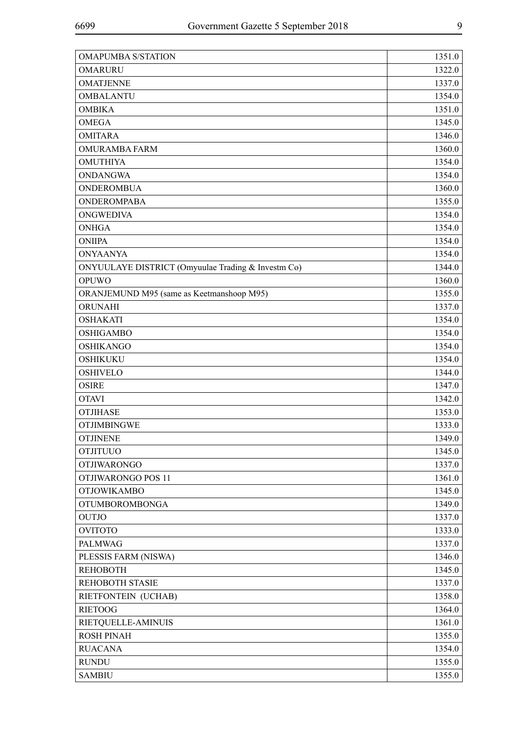| <b>OMAPUMBA S/STATION</b>                          | 1351.0 |
|----------------------------------------------------|--------|
| <b>OMARURU</b>                                     | 1322.0 |
| <b>OMATJENNE</b>                                   | 1337.0 |
| <b>OMBALANTU</b>                                   | 1354.0 |
| <b>OMBIKA</b>                                      | 1351.0 |
| <b>OMEGA</b>                                       | 1345.0 |
| <b>OMITARA</b>                                     | 1346.0 |
| <b>OMURAMBA FARM</b>                               | 1360.0 |
| <b>OMUTHIYA</b>                                    | 1354.0 |
| <b>ONDANGWA</b>                                    | 1354.0 |
| <b>ONDEROMBUA</b>                                  | 1360.0 |
| <b>ONDEROMPABA</b>                                 | 1355.0 |
| <b>ONGWEDIVA</b>                                   | 1354.0 |
| <b>ONHGA</b>                                       | 1354.0 |
| <b>ONIIPA</b>                                      | 1354.0 |
| <b>ONYAANYA</b>                                    | 1354.0 |
| ONYUULAYE DISTRICT (Omyuulae Trading & Investm Co) | 1344.0 |
| OPUWO                                              | 1360.0 |
| ORANJEMUND M95 (same as Keetmanshoop M95)          | 1355.0 |
| ORUNAHI                                            | 1337.0 |
| <b>OSHAKATI</b>                                    | 1354.0 |
| <b>OSHIGAMBO</b>                                   | 1354.0 |
| <b>OSHIKANGO</b>                                   | 1354.0 |
| <b>OSHIKUKU</b>                                    | 1354.0 |
| <b>OSHIVELO</b>                                    | 1344.0 |
| <b>OSIRE</b>                                       | 1347.0 |
| <b>OTAVI</b>                                       | 1342.0 |
| <b>OTJIHASE</b>                                    | 1353.0 |
| <b>OTJIMBINGWE</b>                                 | 1333.0 |
| <b>OTJINENE</b>                                    | 1349.0 |
| <b>OTJITUUO</b>                                    | 1345.0 |
| <b>OTJIWARONGO</b>                                 | 1337.0 |
| <b>OTJIWARONGO POS 11</b>                          | 1361.0 |
| <b>OTJOWIKAMBO</b>                                 | 1345.0 |
| <b>OTUMBOROMBONGA</b>                              | 1349.0 |
| <b>OUTJO</b>                                       | 1337.0 |
| <b>OVITOTO</b>                                     | 1333.0 |
| <b>PALMWAG</b>                                     | 1337.0 |
| PLESSIS FARM (NISWA)                               | 1346.0 |
| <b>REHOBOTH</b>                                    | 1345.0 |
| <b>REHOBOTH STASIE</b>                             | 1337.0 |
| RIETFONTEIN (UCHAB)                                | 1358.0 |
| <b>RIETOOG</b>                                     | 1364.0 |
| RIETQUELLE-AMINUIS                                 | 1361.0 |
| <b>ROSH PINAH</b>                                  | 1355.0 |
| <b>RUACANA</b>                                     | 1354.0 |
| <b>RUNDU</b>                                       | 1355.0 |
| <b>SAMBIU</b>                                      | 1355.0 |
|                                                    |        |